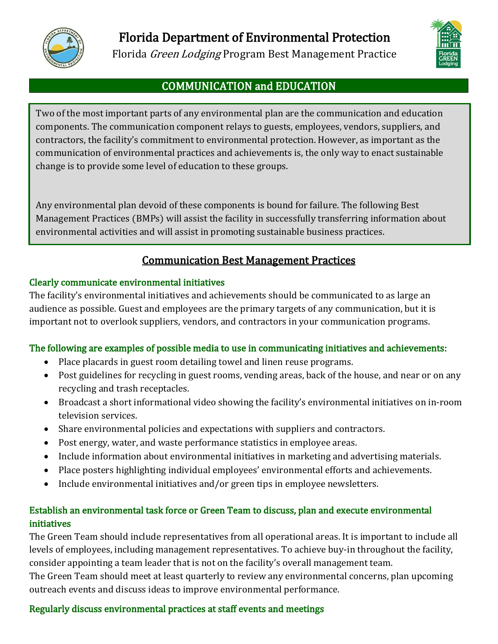

Florida Department of Environmental Protection

Florida Green Lodging Program Best Management Practice



## COMMUNICATION and EDUCATION

Two of the most important parts of any environmental plan are the communication and education components. The communication component relays to guests, employees, vendors, suppliers, and contractors, the facility's commitment to environmental protection. However, as important as the communication of environmental practices and achievements is, the only way to enact sustainable change is to provide some level of education to these groups.

Any environmental plan devoid of these components is bound for failure. The following Best Management Practices (BMPs) will assist the facility in successfully transferring information about environmental activities and will assist in promoting sustainable business practices.

# Communication Best Management Practices

#### Clearly communicate environmental initiatives

The facility's environmental initiatives and achievements should be communicated to as large an audience as possible. Guest and employees are the primary targets of any communication, but it is important not to overlook suppliers, vendors, and contractors in your communication programs.

#### The following are examples of possible media to use in communicating initiatives and achievements:

- Place placards in guest room detailing towel and linen reuse programs.
- Post guidelines for recycling in guest rooms, vending areas, back of the house, and near or on any recycling and trash receptacles.
- Broadcast a short informational video showing the facility's environmental initiatives on in-room television services.
- Share environmental policies and expectations with suppliers and contractors.
- Post energy, water, and waste performance statistics in employee areas.
- Include information about environmental initiatives in marketing and advertising materials.
- Place posters highlighting individual employees' environmental efforts and achievements.
- Include environmental initiatives and/or green tips in employee newsletters.

## Establish an environmental task force or Green Team to discuss, plan and execute environmental initiatives

The Green Team should include representatives from all operational areas. It is important to include all levels of employees, including management representatives. To achieve buy-in throughout the facility, consider appointing a team leader that is not on the facility's overall management team.

The Green Team should meet at least quarterly to review any environmental concerns, plan upcoming outreach events and discuss ideas to improve environmental performance.

## Regularly discuss environmental practices at staff events and meetings